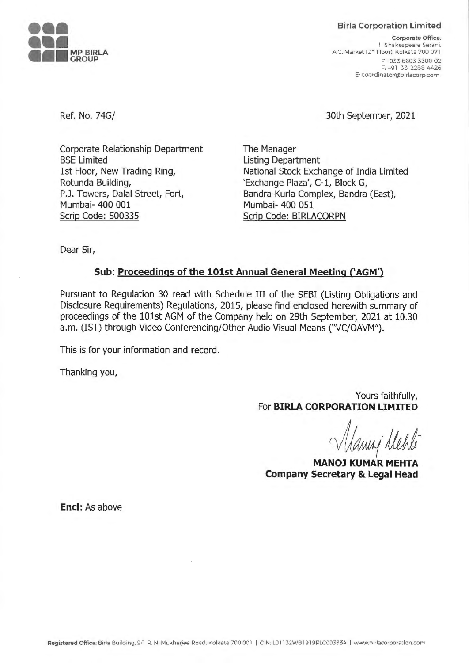

Ref. **No. 74G/** 

**Birla Corporation Limited** 

**Corporate Office:**  1. Shakespeare Sarani. A.C. Market (2nd Floor). Kolkata 700 071 P: 033 6603 3300-02 F: +91 33 2288 4426 **E coordinator@birlacorp.com** 

30th September, 2021

Corporate Relationship Department BSE Limited 1st Floor, New Trading Ring, Rotunda Building, P.J. Towers, Dalal Street, Fort, Mumbai- 400 001 Scrip Code: 500335

The Manager Listing Department National Stock Exchange of India Limited 'Exchange Plaza', C-1, Block G, Bandra-Kurla Complex, Sandra (East), Mumbai- 400 051 Scrip Code: BIRLACORPN

Dear Sir,

## **Sub: Proceedings of the 101st Annual General Meeting ('AGM')**

Pursuant to Regulation 30 read with Schedule III of the SEBI (Listing Obligations and Disclosure Requirements) Regulations, 2015, please find enclosed herewith summary of proceedings of the 101st AGM of the Company held on 29th September, 2021 at 10.30 a.m. (IST) through Video Conferencing/Other Audio Visual Means ("VC/OAVM").

This is for your information and record.

Thanking you,

Yours faithfully, For **BIRLA CORPORATION LIMITED** 

lamy llehle

**MANOJ KUMAR MEHTA Company Secretary & Legal Head** 

**Encl:** As above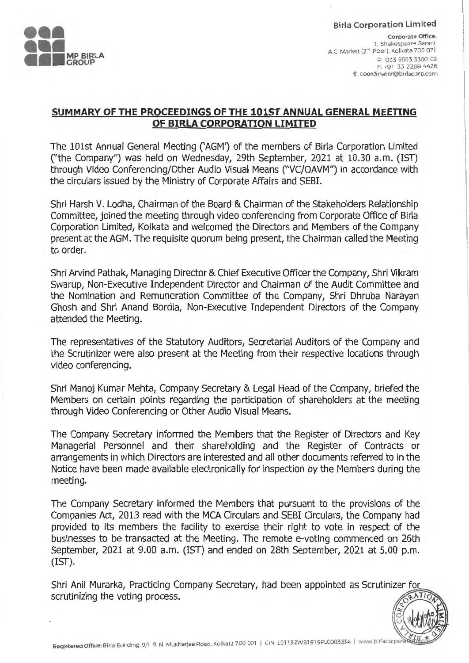

**Birla Corporation Limited** 

**Corporate Office:**  l. Shakespeare Sarani. A.C. Market (2"" Floor). Kolkata 700 071 P: 033 6603 3300-02 F: +91 33 2288 4426 **E: coordinator@birlacorp.com** 

 $\frac{1}{2}$   $\frac{1}{2}$   $\frac{1}{2}$ 

u *J.;.)* 

# **SUMMARY OF THE PROCEEDINGS OF THE 101ST ANNUAL GENERAL MEETING OF BIRLA CORPORATION LIMITED**

The 101st Annual General Meeting ('AGM') of the members of Birla Corporation Limited (''the Company'') was held on Wednesday, 29th September, 2021 at 10.30 a.m. (1ST) through Video Conferencing/Other Audio Visual Means (''VC/OAVM'') in accordance with the circulars issued by the Ministry of Corporate Affairs and SEBI.

Shri Harsh V. Lodha, Chairman of the Board & Chairman of the Stakeholders Relationship Committee, joined the meeting through video conferencing from Corporate Office of Birla Corporation Limited, Kolkata and welcomed the Directors and Members of the Company present at the AGM. The requisite quorum being present, the Chairman called the Meeting to order.

Shri Arvind Pathak, Managing Director & Chief Executive Officer the Company, Shri Vikram Swarup, Non-Executive Independent Director and Chairman of the Audit Committee and the Nomination and Remuneration Committee of the Company, Shri Dhruba Narayan Ghosh and Shri Anand Sordia, Non-Executive Independent Directors of the Company attended the Meeting.

The representatives of the Statutory Auditors, Secretarial Auditors of the Company and the Scrutinizer were also present at the Meeting from their respective locations through video conferencing.

Shri Manoj Kumar Mehta, Company Secretary & Legal Head of the Company, briefed the Members on certain points regarding the participation of shareholders at the meeting through Video Conferencing or Other Audio Visual Means.

The Company Secretary informed the Members that the Register of Directors and Key Managerial Personnel and their shareholding and the Register of Contracts or arrangements in which Directors are interested and all other documents referred to in the Notice have been made available electronically for inspection by the Members during the meeting.

The Company Secretary informed the Members that pursuant to the provisions of the Companies Act, 2013 read with the MCA Circulars and SEBI Circulars, the Company had provided to its members the facility to exercise their right to vote in respect of the businesses to be transacted at the Meeting. The remote e-voting commenced on 26th September, 2021 at 9.00 a.m. (IST) and ended on 28th September, 2021 at 5.00 p.m. (IST).

Shri Anil Murarka, Practicing Company Secretary, had been appointed as Scrutinizer for scrutinizing the voting process.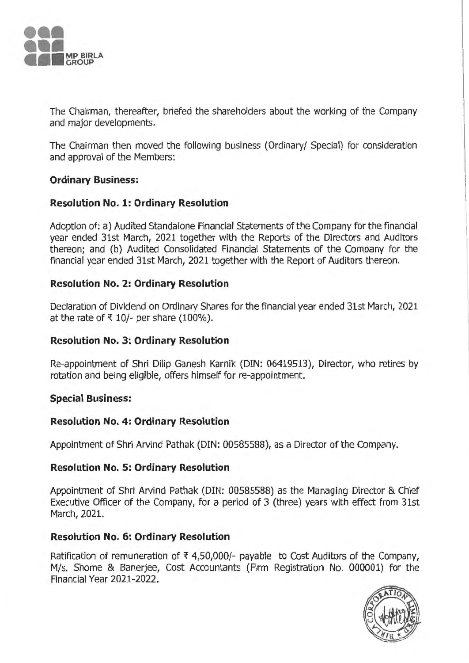

The Chairman, thereafter, briefed the shareholders about the working of the Company and major developments.

The Chairman then moved the following business (Ordinary/ Special) for consideration and approval of the Members:

## **Ordinary Business:**

# **Resolution No. 1: Ordinary Resolution**

Adoption of: a) Audited Standalone Financial Statements of the Company for the financial year ended 31st March, 2021 together with the Reports of the Directors and Auditors thereon; and (b) Audited Consolidated Financial Statements of the Company for the financial year ended 31st March, 2021 together with the Report of Auditors thereon.

## **Resolution No. 2: Ordinary Resolution**

Declaration of Dividend on Ordinary Shares for the financial year ended 31st March, 2021 at the rate of  $\overline{x}$  10/- per share (100%).

### **Resolution No. 3: Ordinary Resolution**

Re-appointment of Shri Dilip Ganesh Karnik (DIN: 06419513), Director, who retires by rotation and being eligible, offers himself for re-appointment.

### **Special Business:**

### **Resolution No. 4: Ordinary Resolution**

Appointment of Shri Arvind Pathak (DIN: 00585588), as a Director of the Company.

### **Resolution No. 5: Ordinary Resolution**

Appointment of Shri Arvind Pathak (DIN: 00585588) as the Managing Director & Chief Executive Officer of the Company, for a period of 3 (three) years with effect from 31st March, 2021.

### **Resolution No. 6: Ordinary Resolution**

Ratification of remuneration of  $\bar{\tau}$  4,50,000/- payable to Cost Auditors of the Company, M/s. Shome & Banerjee, Cost Accountants (Firm Registration No. 000001) for the Financial Year 2021-2022.